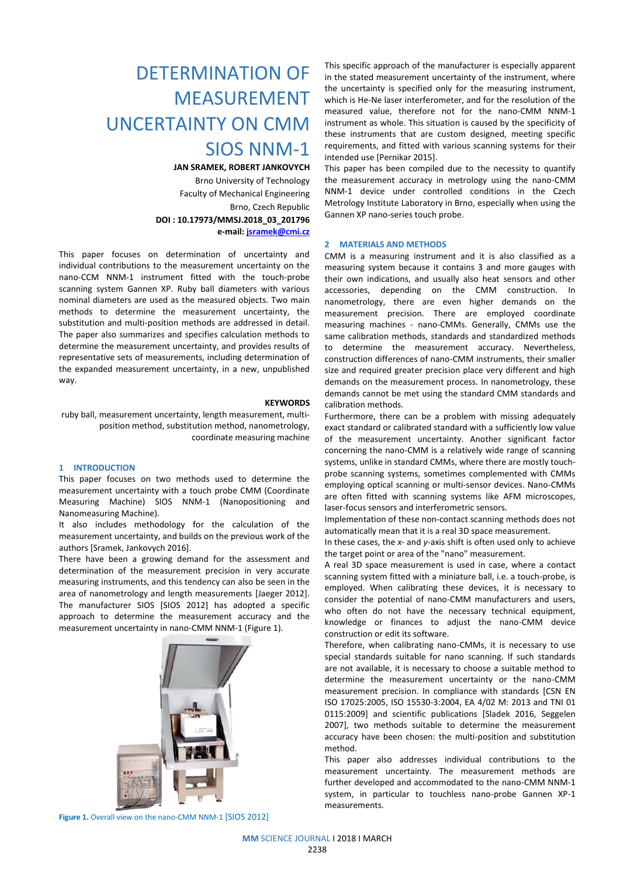# DETERMINATION OF MEASUREMENT UNCERTAINTY ON CMM SIOS NNM-1

**JAN SRAMEK, ROBERT JANKOVYCH** Brno University of Technology Faculty of Mechanical Engineering Brno, Czech Republic

**DOI : 10.17973/MMSJ.2018\_03\_201796 e-mail: [jsramek@cmi.cz](mailto:jsramek@cmi.cz)**

This paper focuses on determination of uncertainty and individual contributions to the measurement uncertainty on the nano-CCM NNM-1 instrument fitted with the touch-probe scanning system Gannen XP. Ruby ball diameters with various nominal diameters are used as the measured objects. Two main methods to determine the measurement uncertainty, the substitution and multi-position methods are addressed in detail. The paper also summarizes and specifies calculation methods to determine the measurement uncertainty, and provides results of representative sets of measurements, including determination of the expanded measurement uncertainty, in a new, unpublished way.

#### **KEYWORDS**

ruby ball, measurement uncertainty, length measurement, multiposition method, substitution method, nanometrology, coordinate measuring machine

# **1 INTRODUCTION**

This paper focuses on two methods used to determine the measurement uncertainty with a touch probe CMM (Coordinate Measuring Machine) SIOS NNM-1 (Nanopositioning and Nanomeasuring Machine).

It also includes methodology for the calculation of the measurement uncertainty, and builds on the previous work of the authors [Sramek, Jankovych 2016].

There have been a growing demand for the assessment and determination of the measurement precision in very accurate measuring instruments, and this tendency can also be seen in the area of nanometrology and length measurements [\[Jaeger 2012\]](http://renishaw.cz/). The manufacturer SIOS [SIOS [2012\]](http://renishaw.cz/) has adopted a specific approach to determine the measurement accuracy and the measurement uncertainty in nano-CMM NNM-1 (Figure 1).



This specific approach of the manufacturer is especially apparent in the stated measurement uncertainty of the instrument, where the uncertainty is specified only for the measuring instrument, which is He-Ne laser interferometer, and for the resolution of the measured value, therefore not for the nano-CMM NNM-1 instrument as whole. This situation is caused by the specificity of these instruments that are custom designed, meeting specific requirements, and fitted with various scanning systems for their intended use [Pernikar 2015].

This paper has been compiled due to the necessity to quantify the measurement accuracy in metrology using the nano-CMM NNM-1 device under controlled conditions in the Czech Metrology Institute Laboratory in Brno, especially when using the Gannen XP nano-series touch probe.

# **2 MATERIALS AND METHODS**

CMM is a measuring instrument and it is also classified as a measuring system because it contains 3 and more gauges with their own indications, and usually also heat sensors and other accessories, depending on the CMM construction. In nanometrology, there are even higher demands on the measurement precision. There are employed coordinate measuring machines - nano-CMMs. Generally, CMMs use the same calibration methods, standards and standardized methods to determine the measurement accuracy. Nevertheless, construction differences of nano-CMM instruments, their smaller size and required greater precision place very different and high demands on the measurement process. In nanometrology, these demands cannot be met using the standard CMM standards and calibration methods.

Furthermore, there can be a problem with missing adequately exact standard or calibrated standard with a sufficiently low value of the measurement uncertainty. Another significant factor concerning the nano-CMM is a relatively wide range of scanning systems, unlike in standard CMMs, where there are mostly touchprobe scanning systems, sometimes complemented with CMMs employing optical scanning or multi-sensor devices. Nano-CMMs are often fitted with scanning systems like AFM microscopes, laser-focus sensors and interferometric sensors.

Implementation of these non-contact scanning methods does not automatically mean that it is a real 3D space measurement.

In these cases, the *x-* and *y-*axis shift is often used only to achieve the target point or area of the "nano" measurement.

A real 3D space measurement is used in case, where a contact scanning system fitted with a miniature ball, i.e. a touch-probe, is employed. When calibrating these devices, it is necessary to consider the potential of nano-CMM manufacturers and users, who often do not have the necessary technical equipment, knowledge or finances to adjust the nano-CMM device construction or edit its software.

Therefore, when calibrating nano-CMMs, it is necessary to use special standards suitable for nano scanning. If such standards are not available, it is necessary to choose a suitable method to determine the measurement uncertainty or the nano-CMM measurement precision. In compliance with standards [CSN EN ISO 17025:2005, ISO 15530-3:2004, EA 4/02 M: 2013 and TNI 01 0115:2009] and scientific publications [\[Sladek 2016,](http://cs.wikipedia.org/wiki/Metoda_Monte_Carlo#cite_note-1) Seggelen [2007\],](http://cs.wikipedia.org/wiki/Metoda_Monte_Carlo#cite_note-1) two methods suitable to determine the measurement accuracy have been chosen: the multi-position and substitution method.

This paper also addresses individual contributions to the measurement uncertainty. The measurement methods are further developed and accommodated to the nano-CMM NNM-1 system, in particular to touchless nano-probe Gannen XP-1 measurements.

**Figure 1.** Overall view on the nano-CMM NNM-1 [SIOS 2012]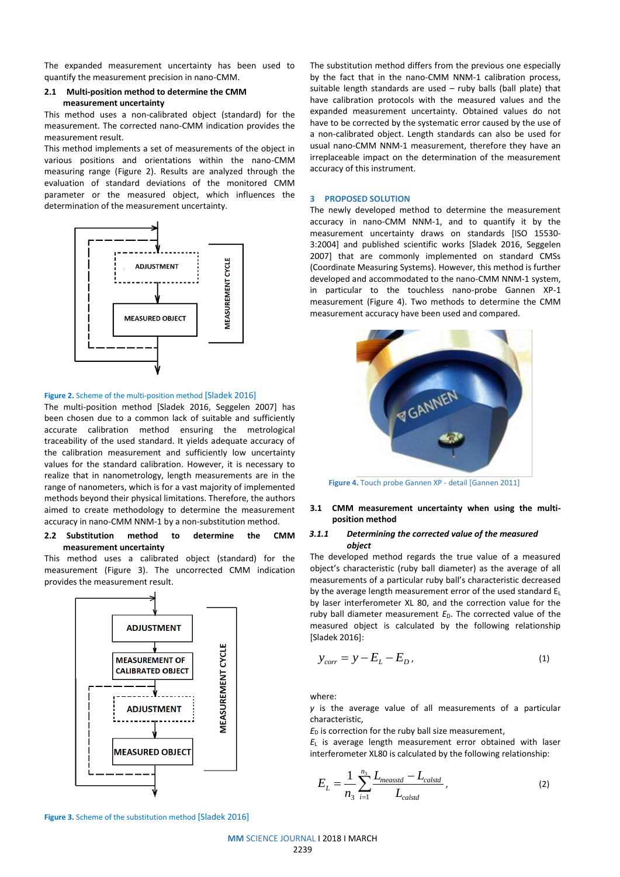The expanded measurement uncertainty has been used to quantify the measurement precision in nano-CMM.

# **2.1 Multi-position method to determine the CMM measurement uncertainty**

This method uses a non-calibrated object (standard) for the measurement. The corrected nano-CMM indication provides the measurement result.

This method implements a set of measurements of the object in various positions and orientations within the nano-CMM measuring range (Figure 2). Results are analyzed through the evaluation of standard deviations of the monitored CMM parameter or the measured object, which influences the determination of the measurement uncertainty.



# **Figure 2.** Scheme of the multi-position method [Sladek 2016]

The multi-position method [Sladek 2016, Seggelen 2007] has been chosen due to a common lack of suitable and sufficiently accurate calibration method ensuring the metrological traceability of the used standard. It yields adequate accuracy of the calibration measurement and sufficiently low uncertainty values for the standard calibration. However, it is necessary to realize that in nanometrology, length measurements are in the range of nanometers, which is for a vast majority of implemented methods beyond their physical limitations. Therefore, the authors aimed to create methodology to determine the measurement accuracy in nano-CMM NNM-1 by a non-substitution method.

# **2.2 Substitution method to determine the CMM measurement uncertainty**

This method uses a calibrated object (standard) for the measurement (Figure 3). The uncorrected CMM indication provides the measurement result.



The substitution method differs from the previous one especially by the fact that in the nano-CMM NNM-1 calibration process, suitable length standards are used – ruby balls (ball plate) that have calibration protocols with the measured values and the expanded measurement uncertainty. Obtained values do not have to be corrected by the systematic error caused by the use of a non-calibrated object. Length standards can also be used for usual nano-CMM NNM-1 measurement, therefore they have an irreplaceable impact on the determination of the measurement accuracy of this instrument.

#### **3 PROPOSED SOLUTION**

The newly developed method to determine the measurement accuracy in nano-CMM NNM-1, and to quantify it by the measurement uncertainty draws on standards [ISO 15530- 3:2004] and published scientific works [Sladek 2016, Seggelen 2007] that are commonly implemented on standard CMSs (Coordinate Measuring Systems). However, this method is further developed and accommodated to the nano-CMM NNM-1 system, in particular to the touchless nano-probe Gannen XP-1 measurement (Figure 4). Two methods to determine the CMM measurement accuracy have been used and compared.



**Figure 4.** Touch probe Gannen XP - detail [Gannen 2011]

# **3.1 CMM measurement uncertainty when using the multiposition method**

# *3.1.1 Determining the corrected value of the measured object*

The developed method regards the true value of a measured object's characteristic (ruby ball diameter) as the average of all measurements of a particular ruby ball's characteristic decreased by the average length measurement error of the used standard  $E_L$ by laser interferometer XL 80, and the correction value for the ruby ball diameter measurement  $E<sub>D</sub>$ . The corrected value of the measured object is calculated by the following relationship [Sladek 2016]:

$$
y_{corr} = y - E_L - E_D, \tag{1}
$$

where:

*y* is the average value of all measurements of a particular characteristic,

 $E<sub>D</sub>$  is correction for the ruby ball size measurement,

*E*<sup>L</sup> is average length measurement error obtained with laser interferometer XL80 is calculated by the following relationship:

$$
E_{L} = \frac{1}{n_{3}} \sum_{i=1}^{n_{3}} \frac{L_{measured} - L_{calstd}}{L_{calstd}},
$$
\n(2)

**Figure 3.** Scheme of the substitution method [Sladek 2016]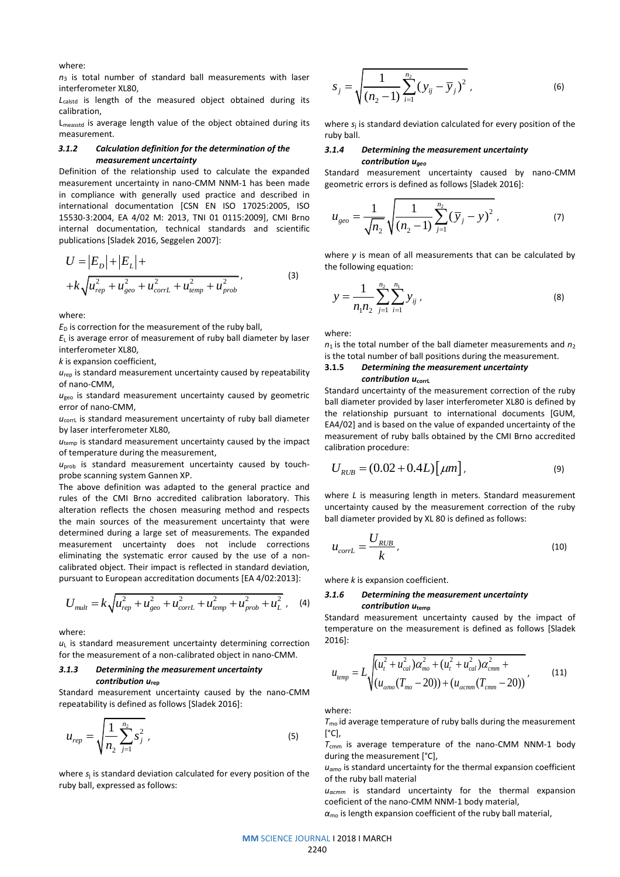where:

*n*<sup>3</sup> is total number of standard ball measurements with laser interferometer XL80,

L<sub>calstd</sub> is length of the measured object obtained during its calibration,

L<sub>measstd</sub> is average length value of the object obtained during its measurement.

#### *3.1.2 Calculation definition for the determination of the measurement uncertainty*

Definition of the relationship used to calculate the expanded measurement uncertainty in nano-CMM NNM-1 has been made in compliance with generally used practice and described in international documentation [CSN EN ISO 17025:2005, ISO 15530-3:2004, EA 4/02 M: 2013, TNI 01 0115:2009], CMI Brno internal documentation, technical standards and scientific

publications [Sladek 2016, Seggelen 2007]:  
\n
$$
U = |E_D| + |E_L| +
$$
\n
$$
+k\sqrt{u_{rep}^2 + u_{geo}^2 + u_{corrL}^2 + u_{temp}^2 + u_{prob}^2},
$$
\n(3)

where:

 $E<sub>D</sub>$  is correction for the measurement of the ruby ball.

*E*<sup>L</sup> is average error of measurement of ruby ball diameter by laser interferometer XL80,

*k* is expansion coefficient,

 $u_{\text{re}}$  is standard measurement uncertainty caused by repeatability of nano-CMM,

 $u_{\text{geo}}$  is standard measurement uncertainty caused by geometric error of nano-CMM,

 $u_{\text{corr}}$  is standard measurement uncertainty of ruby ball diameter by laser interferometer XL80,

 $u<sub>temp</sub>$  is standard measurement uncertainty caused by the impact of temperature during the measurement,

 $u_{\text{prob}}$  is standard measurement uncertainty caused by touchprobe scanning system Gannen XP.

The above definition was adapted to the general practice and rules of the CMI Brno accredited calibration laboratory. This alteration reflects the chosen measuring method and respects the main sources of the measurement uncertainty that were determined during a large set of measurements. The expanded measurement uncertainty does not include corrections eliminating the systematic error caused by the use of a noncalibrated object. Their impact is reflected in standard deviation,

pursuant to European acceleration documents [EA 4/02:2013]:  
\n
$$
U_{mult} = k \sqrt{u_{rep}^2 + u_{geo}^2 + u_{corrL}^2 + u_{temp}^2 + u_{prob}^2 + u_L^2}
$$
\n(4)

where:

 $u<sub>l</sub>$  is standard measurement uncertainty determining correction for the measurement of a non-calibrated object in nano-CMM.

# *3.1.3 Determining the measurement uncertainty contribution*  $u_{\text{ren}}$

Standard measurement uncertainty caused by the nano-CMM repeatability is defined as follows [Sladek 2016]:

$$
u_{rep} = \sqrt{\frac{1}{n_2} \sum_{j=1}^{n_2} s_j^2} \tag{5}
$$

where *s*<sup>j</sup> is standard deviation calculated for every position of the ruby ball, expressed as follows:

$$
s_j = \sqrt{\frac{1}{(n_2 - 1)} \sum_{i=1}^{n_2} (y_{ij} - \overline{y}_j)^2},
$$
 (6)

where *s*<sup>j</sup> is standard deviation calculated for every position of the ruby ball.

# *3.1.4 Determining the measurement uncertainty contribution ugeo*

Standard measurement uncertainty caused by nano-CMM geometric errors is defined as follows [Sladek 2016]:

$$
u_{geo} = \frac{1}{\sqrt{n_2}} \sqrt{\frac{1}{(n_2 - 1)} \sum_{j=1}^{n_2} (\overline{y}_j - y)^2},
$$
 (7)

where *y* is mean of all measurements that can be calculated by the following equation:

$$
y = \frac{1}{n_1 n_2} \sum_{j=1}^{n_2} \sum_{i=1}^{n_1} y_{ij},
$$
 (8)

where:

 $n_1$  is the total number of the ball diameter measurements and  $n_2$ is the total number of ball positions during the measurement.

#### **3.1.5** *Determining the measurement uncertainty contribution*  $u_{\text{corr}}$

Standard uncertainty of the measurement correction of the ruby ball diameter provided by laser interferometer XL80 is defined by the relationship pursuant to international documents [GUM, EA4/02] and is based on the value of expanded uncertainty of the measurement of ruby balls obtained by the CMI Brno accredited calibration procedure:

$$
U_{RUB} = (0.02 + 0.4L) [\mu m], \qquad (9)
$$

where *L* is measuring length in meters. Standard measurement uncertainty caused by the measurement correction of the ruby ball diameter provided by XL 80 is defined as follows:

$$
u_{corrL} = \frac{U_{RUB}}{k},\tag{10}
$$

where *k* is expansion coefficient.

# *3.1.6 Determining the measurement uncertainty contribution u***temp**

Standard measurement uncertainty caused by the impact of temperature on the measurement is defined as follows [Sladek 2016]:

$$
u_{temp} = L \sqrt{(u_t^2 + u_{cal}^2) \alpha_{mo}^2 + (u_t^2 + u_{cal}^2) \alpha_{comm}^2 + (u_{temp}^2 - 20)) + (u_{acmm}(T_{cmm} - 20))},
$$
\n(11)

where:

*T*mo id average temperature of ruby balls during the measurement [°C],

*T*cmm is average temperature of the nano-CMM NNM-1 body during the measurement [°C],

*uαmo* is standard uncertainty for the thermal expansion coefficient of the ruby ball material

*uαcmm* is standard uncertainty for the thermal expansion coeficient of the nano-CMM NNM-1 body material,

*α*mo is length expansion coefficient of the ruby ball material,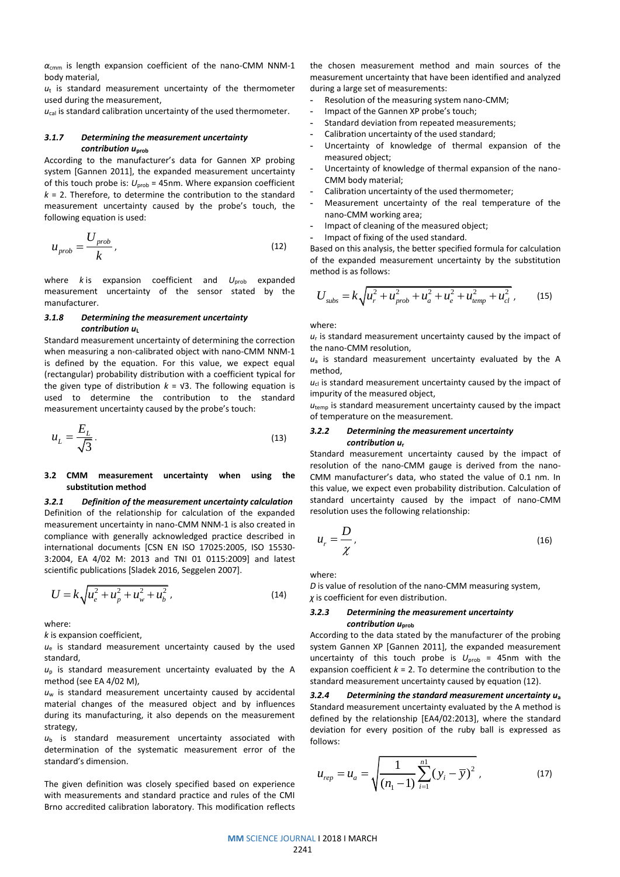*α*cmm is length expansion coefficient of the nano-CMM NNM-1 body material,

*u*<sup>t</sup> is standard measurement uncertainty of the thermometer used during the measurement,

 $u_{\text{cal}}$  is standard calibration uncertainty of the used thermometer.

#### *3.1.7 Determining the measurement uncertainty contribution*  $u_{\text{prob}}$

According to the manufacturer's data for Gannen XP probing system [Gannen 2011], the expanded measurement uncertainty of this touch probe is:  $U_{\text{prob}}$  = 45nm. Where expansion coefficient  $k = 2$ . Therefore, to determine the contribution to the standard measurement uncertainty caused by the probe's touch, the following equation is used:

$$
u_{prob} = \frac{U_{prob}}{k},
$$
\n(12)

where *k* is expansion coefficient and  $U_{\text{prob}}$  expanded measurement uncertainty of the sensor stated by the manufacturer.

# *3.1.8 Determining the measurement uncertainty contribution u***<sup>L</sup>**

Standard measurement uncertainty of determining the correction when measuring a non-calibrated object with nano-CMM NNM-1 is defined by the equation. For this value, we expect equal (rectangular) probability distribution with a coefficient typical for the given type of distribution  $k = \sqrt{3}$ . The following equation is used to determine the contribution to the standard measurement uncertainty caused by the probe's touch:

$$
u_L = \frac{E_L}{\sqrt{3}}.\tag{13}
$$

# **3.2 CMM measurement uncertainty when using the substitution method**

*3.2.1 Definition of the measurement uncertainty calculation* Definition of the relationship for calculation of the expanded measurement uncertainty in nano-CMM NNM-1 is also created in compliance with generally acknowledged practice described in international documents [CSN EN ISO 17025:2005, ISO 15530- 3:2004, EA 4/02 M: 2013 and TNI 01 0115:2009] and latest scientific publications [Sladek 2016, Seggelen 2007].

$$
U = k \sqrt{u_e^2 + u_p^2 + u_w^2 + u_b^2} \,, \tag{14}
$$

where:

*k* is expansion coefficient,

*u*<sup>e</sup> is standard measurement uncertainty caused by the used standard,

*u*<sup>p</sup> is standard measurement uncertainty evaluated by the A method (see EA 4/02 M),

 $u_w$  is standard measurement uncertainty caused by accidental material changes of the measured object and by influences during its manufacturing, it also depends on the measurement strategy,

*u*<sup>b</sup> is standard measurement uncertainty associated with determination of the systematic measurement error of the standard's dimension.

The given definition was closely specified based on experience with measurements and standard practice and rules of the CMI Brno accredited calibration laboratory. This modification reflects

the chosen measurement method and main sources of the measurement uncertainty that have been identified and analyzed during a large set of measurements:

- **-** Resolution of the measuring system nano-CMM;
- **-** Impact of the Gannen XP probe's touch;
- **-** Standard deviation from repeated measurements;
- **-** Calibration uncertainty of the used standard;
- **-** Uncertainty of knowledge of thermal expansion of the measured object;
- **-** Uncertainty of knowledge of thermal expansion of the nano-CMM body material;
- **-** Calibration uncertainty of the used thermometer;
- **-** Measurement uncertainty of the real temperature of the nano-CMM working area;
- **-** Impact of cleaning of the measured object;
- **-** Impact of fixing of the used standard.

Based on this analysis, the better specified formula for calculation of the expanded measurement uncertainty by the substitution method is as follows:

$$
U_{\text{subs}} = k \sqrt{u_r^2 + u_{\text{prob}}^2 + u_a^2 + u_e^2 + u_{\text{temp}}^2 + u_{\text{cl}}^2} \,, \tag{15}
$$

#### where:

 $u_r$  is standard measurement uncertainty caused by the impact of the nano-CMM resolution,

 $u_a$  is standard measurement uncertainty evaluated by the A method,

 $u<sub>cl</sub>$  is standard measurement uncertainty caused by the impact of impurity of the measured object,

*u*temp is standard measurement uncertainty caused by the impact of temperature on the measurement.

# *3.2.2 Determining the measurement uncertainty contribution u*<sub>r</sub>

Standard measurement uncertainty caused by the impact of resolution of the nano-CMM gauge is derived from the nano-CMM manufacturer's data, who stated the value of 0.1 nm. In this value, we expect even probability distribution. Calculation of standard uncertainty caused by the impact of nano-CMM resolution uses the following relationship:

$$
u_r = \frac{D}{\chi},\tag{16}
$$

where:

*D* is value of resolution of the nano-CMM measuring system, *χ* is coefficient for even distribution.

# *3.2.3 Determining the measurement uncertainty contribution*  $u_{\text{prob}}$

According to the data stated by the manufacturer of the probing system Gannen XP [Gannen 2011], the expanded measurement uncertainty of this touch probe is  $U_{\text{prob}}$  = 45nm with the expansion coefficient *k* = 2. To determine the contribution to the standard measurement uncertainty caused by equation (12).

*3.2.4 Determining the standard measurement uncertainty u***<sup>a</sup>** Standard measurement uncertainty evaluated by the A method is defined by the relationship [EA4/02:2013], where the standard deviation for every position of the ruby ball is expressed as follows:

$$
u_{rep} = u_a = \sqrt{\frac{1}{(n_1 - 1)} \sum_{i=1}^{n_1} (y_i - \overline{y})^2},
$$
 (17)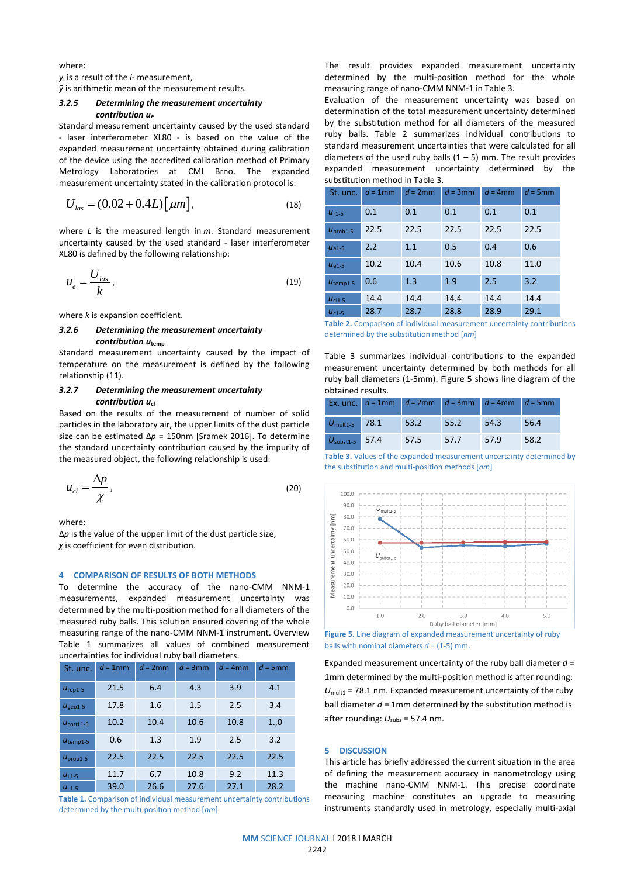where:

*y*<sup>i</sup> is a result of the *i*- measurement,

*ӯ* is arithmetic mean of the measurement results.

#### *3.2.5 Determining the measurement uncertainty contribution u***<sup>e</sup>**

Standard measurement uncertainty caused by the used standard - laser interferometer XL80 - is based on the value of the expanded measurement uncertainty obtained during calibration of the device using the accredited calibration method of Primary Metrology Laboratories at CMI Brno. The expanded measurement uncertainty stated in the calibration protocol is:

$$
U_{las} = (0.02 + 0.4L) [\mu m], \qquad (18)
$$

where *L* is the measured length in *m*. Standard measurement uncertainty caused by the used standard - laser interferometer XL80 is defined by the following relationship:

$$
u_e = \frac{U_{las}}{k},\tag{19}
$$

where *k* is expansion coefficient.

# *3.2.6 Determining the measurement uncertainty contribution u***temp**

Standard measurement uncertainty caused by the impact of temperature on the measurement is defined by the following relationship (11).

# *3.2.7 Determining the measurement uncertainty contribution u***cl**

Based on the results of the measurement of number of solid particles in the laboratory air, the upper limits of the dust particle size can be estimated Δ*p* = 150nm [Sramek 2016]. To determine the standard uncertainty contribution caused by the impurity of the measured object, the following relationship is used:

$$
u_{cl} = \frac{\Delta p}{\chi},\tag{20}
$$

where:

Δ*p* is the value of the upper limit of the dust particle size, *χ* is coefficient for even distribution.

# **4 COMPARISON OF RESULTS OF BOTH METHODS**

To determine the accuracy of the nano-CMM NNM-1 measurements, expanded measurement uncertainty was determined by the multi-position method for all diameters of the measured ruby balls. This solution ensured covering of the whole measuring range of the nano-CMM NNM-1 instrument. Overview Table 1 summarizes all values of combined measurement uncertainties for individual ruby ball diameters.

| St. unc.               | $d = 1$ mm | $d = 2$ mm | $d = 3$ mm | $d = 4$ mm | $d = 5$ mm |
|------------------------|------------|------------|------------|------------|------------|
| $U_{\text{rep1-5}}$    | 21.5       | 6.4        | 4.3        | 3.9        | 4.1        |
| $U_{\text{geo1-5}}$    | 17.8       | 1.6        | 1.5        | 2.5        | 3.4        |
| $U_{\text{corr}11-5}$  | 10.2       | 10.4       | 10.6       | 10.8       | 1.,0       |
| $U$ <sub>temp1-5</sub> | 0.6        | 1.3        | 1.9        | 2.5        | 3.2        |
| $Uprob1-5$             | 22.5       | 22.5       | 22.5       | 22.5       | 22.5       |
| $U_{11-5}$             | 11.7       | 6.7        | 10.8       | 9.2        | 11.3       |
| $Uc1-5$                | 39.0       | 26.6       | 27.6       | 27.1       | 28.2       |

**Table 1.** Comparison of individual measurement uncertainty contributions determined by the multi-position method [*nm*]

The result provides expanded measurement uncertainty determined by the multi-position method for the whole measuring range of nano-CMM NNM-1 in Table 3.

Evaluation of the measurement uncertainty was based on determination of the total measurement uncertainty determined by the substitution method for all diameters of the measured ruby balls. Table 2 summarizes individual contributions to standard measurement uncertainties that were calculated for all diameters of the used ruby balls  $(1 – 5)$  mm. The result provides expanded measurement uncertainty determined by the substitution method in Table 3.

| St. unc.               | $d = 1$ mm | $d = 2$ mm | $d = 3$ mm | $d = 4$ mm | $d = 5$ mm |
|------------------------|------------|------------|------------|------------|------------|
| $U_{r1-5}$             | 0.1        | 0.1        | 0.1        | 0.1        | 0.1        |
| $Uprob1-5$             | 22.5       | 22.5       | 22.5       | 22.5       | 22.5       |
| $U_{a1-5}$             | 2.2        | 1.1        | 0.5        | 0.4        | 0.6        |
| $U_{e1-5}$             | 10.2       | 10.4       | 10.6       | 10.8       | 11.0       |
| $U$ <sub>temp1-5</sub> | 0.6        | 1.3        | 1.9        | 2.5        | 3.2        |
| $Uc11-5$               | 14.4       | 14.4       | 14.4       | 14.4       | 14.4       |
| $Uc1-5$                | 28.7       | 28.7       | 28.8       | 28.9       | 29.1       |

| Table 2. Comparison of individual measurement uncertainty contributions |  |
|-------------------------------------------------------------------------|--|
| determined by the substitution method [nm]                              |  |

Table 3 summarizes individual contributions to the expanded measurement uncertainty determined by both methods for all ruby ball diameters (1-5mm). Figure 5 shows line diagram of the obtained results.

|                                     |      | Ex. unc. $d = 1$ mm $d = 2$ mm $d = 3$ mm $d = 4$ mm $d = 5$ mm |      |
|-------------------------------------|------|-----------------------------------------------------------------|------|
| $U_{\text{multi-5}}$ 78.1 53.2 55.2 |      | 54.3 56.4                                                       |      |
| $U_{\text{subst1-5}}$ 57.4 57.5     | 57.7 | 57.9                                                            | 58.2 |

**Table 3.** Values of the expanded measurement uncertainty determined by the substitution and multi-position methods [*nm*]



**Figure 5.** Line diagram of expanded measurement uncertainty of ruby balls with nominal diameters *d* = (1-5) mm.

Expanded measurement uncertainty of the ruby ball diameter *d* = 1mm determined by the multi-position method is after rounding:  $U_{\text{multi}}$  = 78.1 nm. Expanded measurement uncertainty of the ruby ball diameter *d* = 1mm determined by the substitution method is after rounding: *U*subs = 57.4 nm.

#### **5 DISCUSSION**

This article has briefly addressed the current situation in the area of defining the measurement accuracy in nanometrology using the machine nano-CMM NNM-1. This precise coordinate measuring machine constitutes an upgrade to measuring instruments standardly used in metrology, especially multi-axial